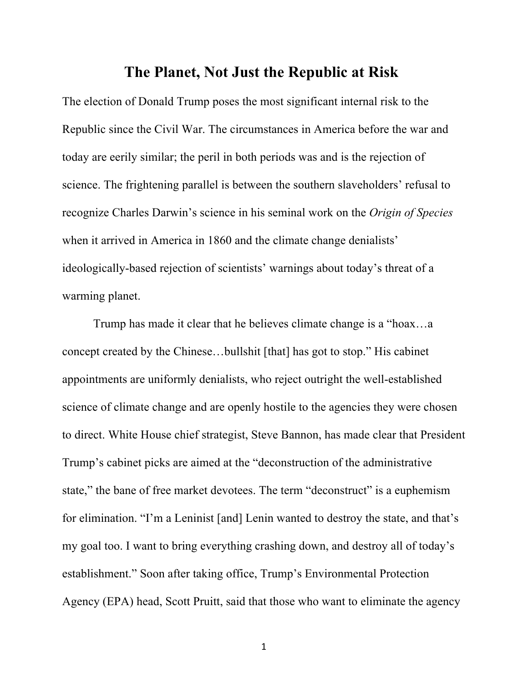## **The Planet, Not Just the Republic at Risk**

The election of Donald Trump poses the most significant internal risk to the Republic since the Civil War. The circumstances in America before the war and today are eerily similar; the peril in both periods was and is the rejection of science. The frightening parallel is between the southern slaveholders' refusal to recognize Charles Darwin's science in his seminal work on the *Origin of Species* when it arrived in America in 1860 and the climate change denialists' ideologically-based rejection of scientists' warnings about today's threat of a warming planet.

Trump has made it clear that he believes climate change is a "hoax…a concept created by the Chinese…bullshit [that] has got to stop." His cabinet appointments are uniformly denialists, who reject outright the well-established science of climate change and are openly hostile to the agencies they were chosen to direct. White House chief strategist, Steve Bannon, has made clear that President Trump's cabinet picks are aimed at the "deconstruction of the administrative state," the bane of free market devotees. The term "deconstruct" is a euphemism for elimination. "I'm a Leninist [and] Lenin wanted to destroy the state, and that's my goal too. I want to bring everything crashing down, and destroy all of today's establishment." Soon after taking office, Trump's Environmental Protection Agency (EPA) head, Scott Pruitt, said that those who want to eliminate the agency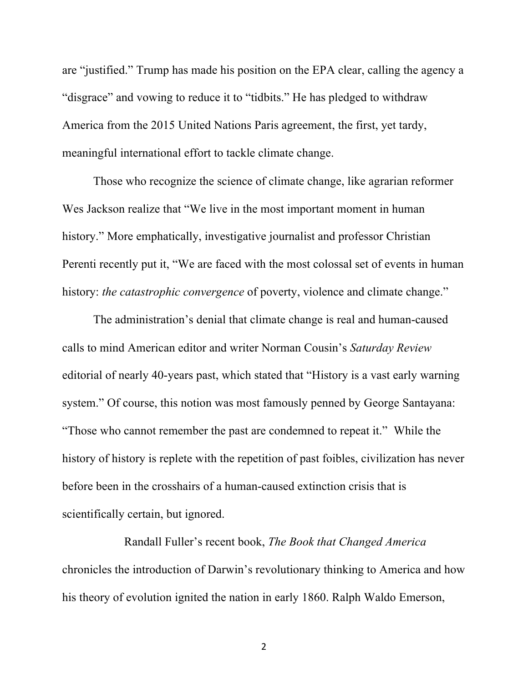are "justified." Trump has made his position on the EPA clear, calling the agency a "disgrace" and vowing to reduce it to "tidbits." He has pledged to withdraw America from the 2015 United Nations Paris agreement, the first, yet tardy, meaningful international effort to tackle climate change.

Those who recognize the science of climate change, like agrarian reformer Wes Jackson realize that "We live in the most important moment in human history." More emphatically, investigative journalist and professor Christian Perenti recently put it, "We are faced with the most colossal set of events in human history: *the catastrophic convergence* of poverty, violence and climate change."

The administration's denial that climate change is real and human-caused calls to mind American editor and writer Norman Cousin's *Saturday Review* editorial of nearly 40-years past, which stated that "History is a vast early warning system." Of course, this notion was most famously penned by George Santayana: "Those who cannot remember the past are condemned to repeat it." While the history of history is replete with the repetition of past foibles, civilization has never before been in the crosshairs of a human-caused extinction crisis that is scientifically certain, but ignored.

Randall Fuller's recent book, *The Book that Changed America* chronicles the introduction of Darwin's revolutionary thinking to America and how his theory of evolution ignited the nation in early 1860. Ralph Waldo Emerson,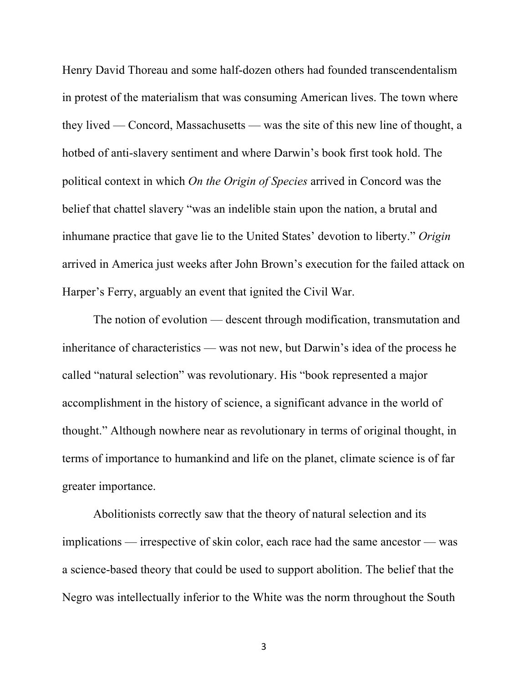Henry David Thoreau and some half-dozen others had founded transcendentalism in protest of the materialism that was consuming American lives. The town where they lived — Concord, Massachusetts — was the site of this new line of thought, a hotbed of anti-slavery sentiment and where Darwin's book first took hold. The political context in which *On the Origin of Species* arrived in Concord was the belief that chattel slavery "was an indelible stain upon the nation, a brutal and inhumane practice that gave lie to the United States' devotion to liberty." *Origin* arrived in America just weeks after John Brown's execution for the failed attack on Harper's Ferry, arguably an event that ignited the Civil War.

The notion of evolution — descent through modification, transmutation and inheritance of characteristics — was not new, but Darwin's idea of the process he called "natural selection" was revolutionary. His "book represented a major accomplishment in the history of science, a significant advance in the world of thought." Although nowhere near as revolutionary in terms of original thought, in terms of importance to humankind and life on the planet, climate science is of far greater importance.

Abolitionists correctly saw that the theory of natural selection and its implications — irrespective of skin color, each race had the same ancestor — was a science-based theory that could be used to support abolition. The belief that the Negro was intellectually inferior to the White was the norm throughout the South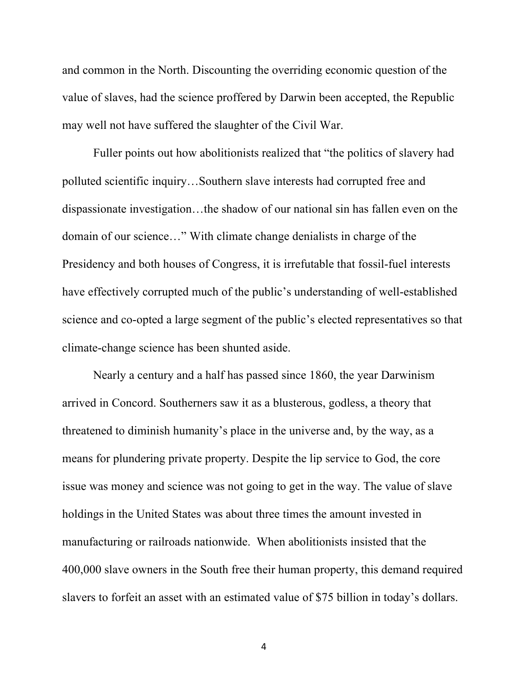and common in the North. Discounting the overriding economic question of the value of slaves, had the science proffered by Darwin been accepted, the Republic may well not have suffered the slaughter of the Civil War.

Fuller points out how abolitionists realized that "the politics of slavery had polluted scientific inquiry…Southern slave interests had corrupted free and dispassionate investigation…the shadow of our national sin has fallen even on the domain of our science…" With climate change denialists in charge of the Presidency and both houses of Congress, it is irrefutable that fossil-fuel interests have effectively corrupted much of the public's understanding of well-established science and co-opted a large segment of the public's elected representatives so that climate-change science has been shunted aside.

Nearly a century and a half has passed since 1860, the year Darwinism arrived in Concord. Southerners saw it as a blusterous, godless, a theory that threatened to diminish humanity's place in the universe and, by the way, as a means for plundering private property. Despite the lip service to God, the core issue was money and science was not going to get in the way. The value of slave holdings in the United States was about three times the amount invested in manufacturing or railroads nationwide. When abolitionists insisted that the 400,000 slave owners in the South free their human property, this demand required slavers to forfeit an asset with an estimated value of \$75 billion in today's dollars.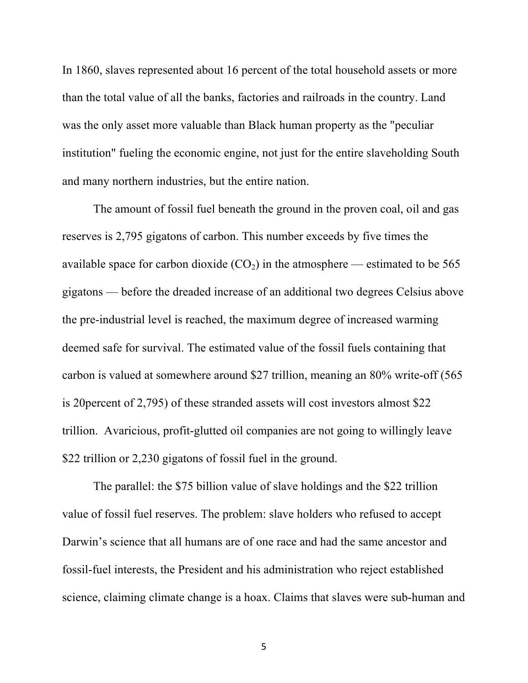In 1860, slaves represented about 16 percent of the total household assets or more than the total value of all the banks, factories and railroads in the country. Land was the only asset more valuable than Black human property as the "peculiar institution" fueling the economic engine, not just for the entire slaveholding South and many northern industries, but the entire nation.

The amount of fossil fuel beneath the ground in the proven coal, oil and gas reserves is 2,795 gigatons of carbon. This number exceeds by five times the available space for carbon dioxide  $(CO_2)$  in the atmosphere — estimated to be 565 gigatons — before the dreaded increase of an additional two degrees Celsius above the pre-industrial level is reached, the maximum degree of increased warming deemed safe for survival. The estimated value of the fossil fuels containing that carbon is valued at somewhere around \$27 trillion, meaning an 80% write-off (565 is 20percent of 2,795) of these stranded assets will cost investors almost \$22 trillion. Avaricious, profit-glutted oil companies are not going to willingly leave \$22 trillion or 2,230 gigatons of fossil fuel in the ground.

The parallel: the \$75 billion value of slave holdings and the \$22 trillion value of fossil fuel reserves. The problem: slave holders who refused to accept Darwin's science that all humans are of one race and had the same ancestor and fossil-fuel interests, the President and his administration who reject established science, claiming climate change is a hoax. Claims that slaves were sub-human and